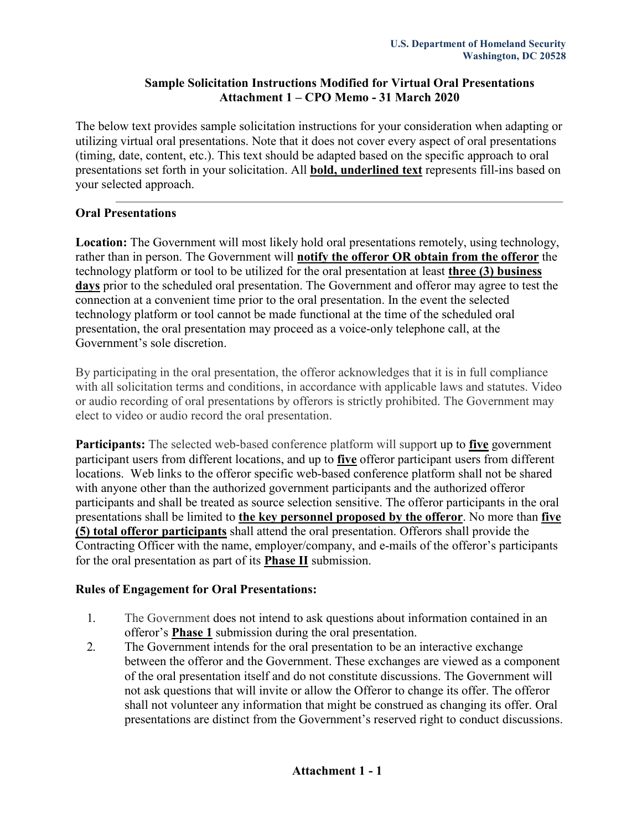## **Sample Solicitation Instructions Modified for Virtual Oral Presentations Attachment 1 – CPO Memo - 31 March 2020**

The below text provides sample solicitation instructions for your consideration when adapting or utilizing virtual oral presentations. Note that it does not cover every aspect of oral presentations (timing, date, content, etc.). This text should be adapted based on the specific approach to oral presentations set forth in your solicitation. All **bold, underlined text** represents fill-ins based on your selected approach.

## **Oral Presentations**

**Location:** The Government will most likely hold oral presentations remotely, using technology, rather than in person. The Government will **notify the offeror OR obtain from the offeror** the technology platform or tool to be utilized for the oral presentation at least **three (3) business days** prior to the scheduled oral presentation. The Government and offeror may agree to test the connection at a convenient time prior to the oral presentation. In the event the selected technology platform or tool cannot be made functional at the time of the scheduled oral presentation, the oral presentation may proceed as a voice-only telephone call, at the Government's sole discretion.

By participating in the oral presentation, the offeror acknowledges that it is in full compliance with all solicitation terms and conditions, in accordance with applicable laws and statutes. Video or audio recording of oral presentations by offerors is strictly prohibited. The Government may elect to video or audio record the oral presentation.

**Participants:** The selected web-based conference platform will support up to **five** government participant users from different locations, and up to **five** offeror participant users from different locations. Web links to the offeror specific web-based conference platform shall not be shared with anyone other than the authorized government participants and the authorized offeror participants and shall be treated as source selection sensitive. The offeror participants in the oral presentations shall be limited to **the key personnel proposed by the offeror**. No more than **five (5) total offeror participants** shall attend the oral presentation. Offerors shall provide the Contracting Officer with the name, employer/company, and e-mails of the offeror's participants for the oral presentation as part of its **Phase II** submission.

## **Rules of Engagement for Oral Presentations:**

- 1. The Government does not intend to ask questions about information contained in an offeror's **Phase 1** submission during the oral presentation.
- 2. The Government intends for the oral presentation to be an interactive exchange between the offeror and the Government. These exchanges are viewed as a component of the oral presentation itself and do not constitute discussions. The Government will not ask questions that will invite or allow the Offeror to change its offer. The offeror shall not volunteer any information that might be construed as changing its offer. Oral presentations are distinct from the Government's reserved right to conduct discussions.